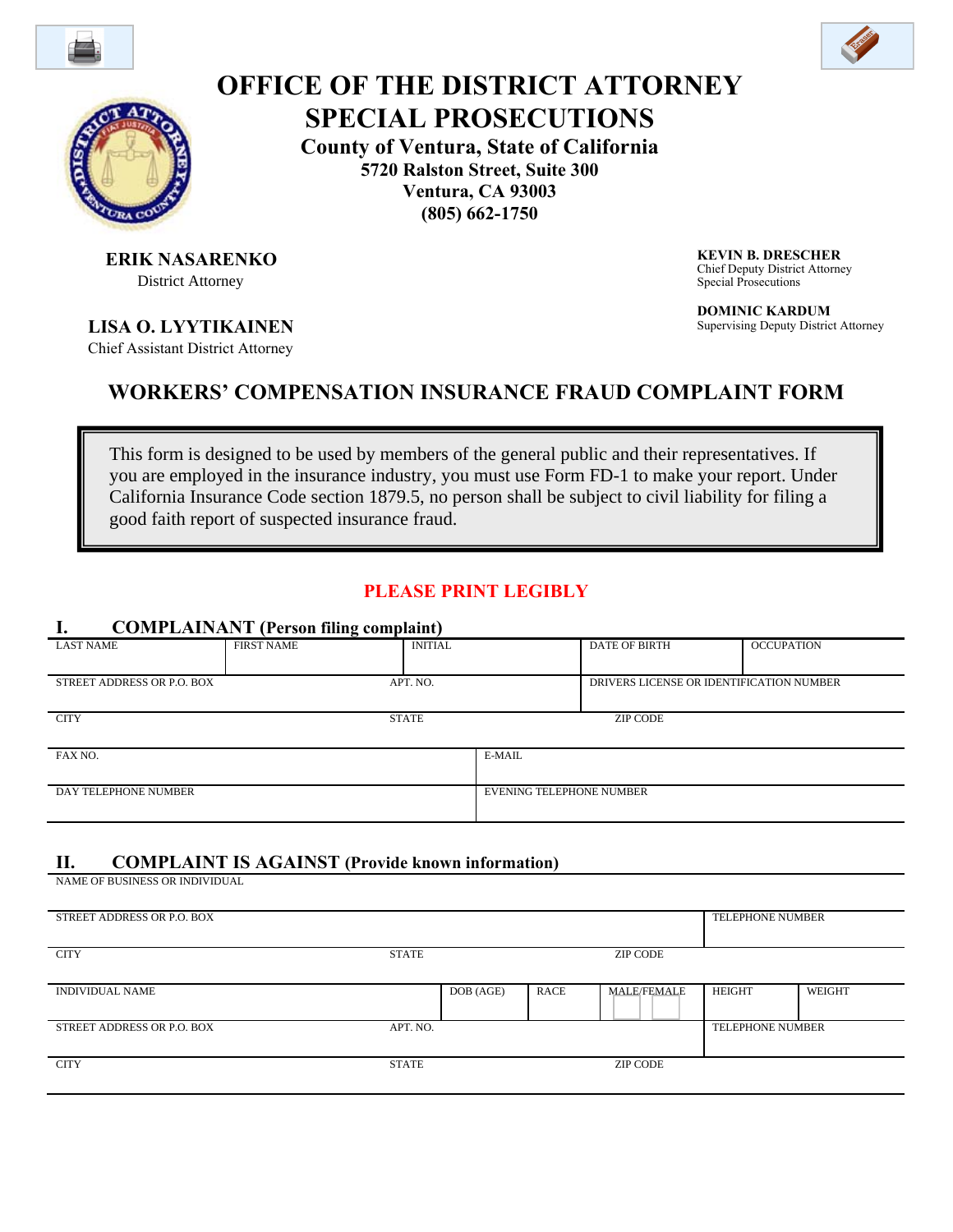



# **OFFICE OF THE DISTRICT ATTORNEY SPECIAL PROSECUTIONS**

**County of Ventura, State of California** 

**5720 Ralston Street, Suite 300 Ventura, CA 93003** 

**(805) 662-1750**

**ERIK NASARENKO** District Attorney

**LISA O. LYYTIKAINEN**

Chief Assistant District Attorney

**KEVIN B. DRESCHER** Chief Deputy District Attorney Special Prosecutions

**DOMINIC KARDUM** Supervising Deputy District Attorney

## **WORKERS' COMPENSATION INSURANCE FRAUD COMPLAINT FORM**

This form is designed to be used by members of the general public and their representatives. If you are employed in the insurance industry, you must use Form FD-1 to make your report. Under California Insurance Code section 1879.5, no person shall be subject to civil liability for filing a good faith report of suspected insurance fraud.

## **PLEASE PRINT LEGIBLY**

#### **I. COMPLAINANT (Person filing complaint)**

|                                        | -                 |                |                                          |                 |                   |  |
|----------------------------------------|-------------------|----------------|------------------------------------------|-----------------|-------------------|--|
| <b>LAST NAME</b>                       | <b>FIRST NAME</b> | <b>INITIAL</b> |                                          | DATE OF BIRTH   | <b>OCCUPATION</b> |  |
|                                        |                   |                |                                          |                 |                   |  |
| APT. NO.<br>STREET ADDRESS OR P.O. BOX |                   |                | DRIVERS LICENSE OR IDENTIFICATION NUMBER |                 |                   |  |
|                                        |                   |                |                                          |                 |                   |  |
| <b>CITY</b>                            |                   | <b>STATE</b>   |                                          | <b>ZIP CODE</b> |                   |  |
|                                        |                   |                |                                          |                 |                   |  |
| FAX NO.                                |                   |                | E-MAIL                                   |                 |                   |  |
|                                        |                   |                |                                          |                 |                   |  |
| DAY TELEPHONE NUMBER                   |                   |                | <b>EVENING TELEPHONE NUMBER</b>          |                 |                   |  |
|                                        |                   |                |                                          |                 |                   |  |

#### **II. COMPLAINT IS AGAINST (Provide known information)**

NAME OF BUSINESS OR INDIVIDUAL

| STREET ADDRESS OR P.O. BOX |          |           |             |                    |                         | <b>TELEPHONE NUMBER</b> |  |
|----------------------------|----------|-----------|-------------|--------------------|-------------------------|-------------------------|--|
| <b>CITY</b>                | STATE    |           |             | ZIP CODE           |                         |                         |  |
|                            |          |           |             |                    |                         |                         |  |
| <b>INDIVIDUAL NAME</b>     |          | DOB (AGE) | <b>RACE</b> | <b>MALE/FEMALE</b> | <b>HEIGHT</b>           | WEIGHT                  |  |
| STREET ADDRESS OR P.O. BOX | APT. NO. |           |             |                    | <b>TELEPHONE NUMBER</b> |                         |  |
| <b>CITY</b>                | STATE    |           |             | <b>ZIP CODE</b>    |                         |                         |  |